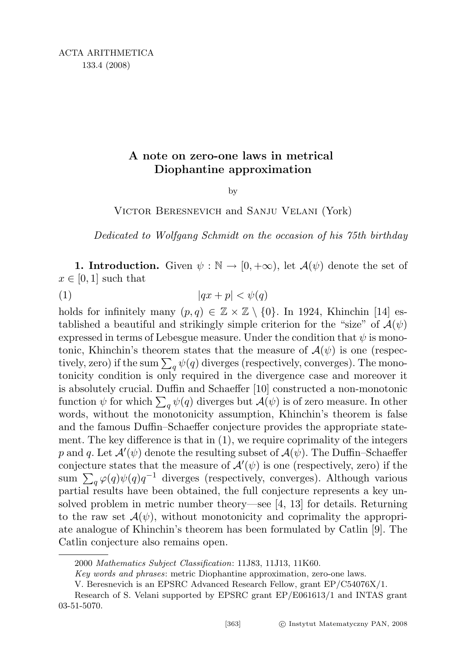## A note on zero-one laws in metrical Diophantine approximation

by

Victor Beresnevich and Sanju Velani (York)

Dedicated to Wolfgang Schmidt on the occasion of his 75th birthday

1. Introduction. Given  $\psi : \mathbb{N} \to [0, +\infty)$ , let  $\mathcal{A}(\psi)$  denote the set of  $x \in [0,1]$  such that

(1)  $|qx + p| < \psi(q)$ 

holds for infinitely many  $(p, q) \in \mathbb{Z} \times \mathbb{Z} \setminus \{0\}$ . In 1924, Khinchin [14] established a beautiful and strikingly simple criterion for the "size" of  $\mathcal{A}(\psi)$ expressed in terms of Lebesgue measure. Under the condition that  $\psi$  is monotonic, Khinchin's theorem states that the measure of  $\mathcal{A}(\psi)$  is one (respectively, zero) if the sum  $\sum_{q} \psi(q)$  diverges (respectively, converges). The monotonicity condition is only required in the divergence case and moreover it is absolutely crucial. Duffin and Schaeffer [10] constructed a non-monotonic function  $\psi$  for which  $\sum_{q} \psi(q)$  diverges but  $\mathcal{A}(\psi)$  is of zero measure. In other words, without the monotonicity assumption, Khinchin's theorem is false and the famous Duffin–Schaeffer conjecture provides the appropriate statement. The key difference is that in (1), we require coprimality of the integers p and q. Let  $\mathcal{A}'(\psi)$  denote the resulting subset of  $\mathcal{A}(\psi)$ . The Duffin–Schaeffer conjecture states that the measure of  $\mathcal{A}'(\psi)$  is one (respectively, zero) if the sum  $\sum_{q} \varphi(q) \psi(q) q^{-1}$  diverges (respectively, converges). Although various partial results have been obtained, the full conjecture represents a key unsolved problem in metric number theory—see [4, 13] for details. Returning to the raw set  $\mathcal{A}(\psi)$ , without monotonicity and coprimality the appropriate analogue of Khinchin's theorem has been formulated by Catlin [9]. The Catlin conjecture also remains open.

<sup>2000</sup> Mathematics Subject Classification: 11J83, 11J13, 11K60.

Key words and phrases: metric Diophantine approximation, zero-one laws.

V. Beresnevich is an EPSRC Advanced Research Fellow, grant EP/C54076X/1.

Research of S. Velani supported by EPSRC grant EP/E061613/1 and INTAS grant 03-51-5070.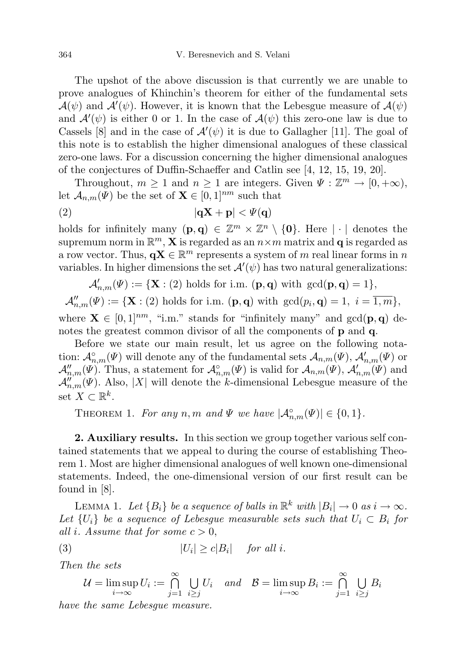The upshot of the above discussion is that currently we are unable to prove analogues of Khinchin's theorem for either of the fundamental sets  $\mathcal{A}(\psi)$  and  $\mathcal{A}'(\psi)$ . However, it is known that the Lebesgue measure of  $\mathcal{A}(\psi)$ and  $\mathcal{A}'(\psi)$  is either 0 or 1. In the case of  $\mathcal{A}(\psi)$  this zero-one law is due to Cassels [8] and in the case of  $\mathcal{A}'(\psi)$  it is due to Gallagher [11]. The goal of this note is to establish the higher dimensional analogues of these classical zero-one laws. For a discussion concerning the higher dimensional analogues of the conjectures of Duffin-Schaeffer and Catlin see [4, 12, 15, 19, 20].

Throughout,  $m \geq 1$  and  $n \geq 1$  are integers. Given  $\Psi : \mathbb{Z}^m \to [0, +\infty)$ , let  $\mathcal{A}_{n,m}(\Psi)$  be the set of  $\mathbf{X} \in [0,1]^{nm}$  such that

$$
|\mathbf{qX} + \mathbf{p}| < \Psi(\mathbf{q})
$$

holds for infinitely many  $(\mathbf{p}, \mathbf{q}) \in \mathbb{Z}^m \times \mathbb{Z}^n \setminus \{\mathbf{0}\}.$  Here  $|\cdot|$  denotes the supremum norm in  $\mathbb{R}^m$ , **X** is regarded as an  $n \times m$  matrix and **q** is regarded as a row vector. Thus,  $\mathbf{q} \mathbf{X} \in \mathbb{R}^m$  represents a system of m real linear forms in n variables. In higher dimensions the set  $\mathcal{A}'(\psi)$  has two natural generalizations:

$$
\mathcal{A}'_{n,m}(\Psi) := \{ \mathbf{X} : (2) \text{ holds for i.m. } (\mathbf{p}, \mathbf{q}) \text{ with } \gcd(\mathbf{p}, \mathbf{q}) = 1 \},
$$

 $\mathcal{A}_{n,m}''(\Psi) := {\mathbf{X} : (2) \text{ holds for i.m. } (\mathbf{p}, \mathbf{q}) \text{ with } \gcd(p_i, \mathbf{q}) = 1, i = \overline{1,m}},$ where  $\mathbf{X} \in [0,1]^{nm}$ , "i.m." stands for "infinitely many" and  $gcd(\mathbf{p}, \mathbf{q})$  denotes the greatest common divisor of all the components of **p** and **q**.

Before we state our main result, let us agree on the following notation:  $\mathcal{A}_{n,m}^{\circ}(\Psi)$  will denote any of the fundamental sets  $\mathcal{A}_{n,m}(\Psi)$ ,  $\mathcal{A}'_{n,m}(\Psi)$  or  $\mathcal{A}_{n,m}''(\Psi)$ . Thus, a statement for  $\mathcal{A}_{n,m}^{\circ}(\Psi)$  is valid for  $\mathcal{A}_{n,m}(\Psi)$ ,  $\mathcal{A}_{n,m}'(\Psi)$  and  $\mathcal{A}_{n,m}''(\Psi)$ . Also, |X| will denote the k-dimensional Lebesgue measure of the set  $X \subset \mathbb{R}^k$ .

THEOREM 1. For any n, m and  $\Psi$  we have  $|\mathcal{A}_{n,m}^{\circ}(\Psi)| \in \{0,1\}.$ 

2. Auxiliary results. In this section we group together various self contained statements that we appeal to during the course of establishing Theorem 1. Most are higher dimensional analogues of well known one-dimensional statements. Indeed, the one-dimensional version of our first result can be found in [8].

LEMMA 1. Let  ${B_i}$  be a sequence of balls in  $\mathbb{R}^k$  with  $|B_i| \to 0$  as  $i \to \infty$ . Let  $\{U_i\}$  be a sequence of Lebesgue measurable sets such that  $U_i \subset B_i$  for all i. Assume that for some  $c > 0$ ,

(3) 
$$
|U_i| \ge c|B_i| \quad \text{for all } i.
$$

Then the sets

$$
\mathcal{U} = \limsup_{i \to \infty} U_i := \bigcap_{j=1}^{\infty} \bigcup_{i \ge j} U_i \quad and \quad \mathcal{B} = \limsup_{i \to \infty} B_i := \bigcap_{j=1}^{\infty} \bigcup_{i \ge j} B_i
$$

have the same Lebesgue measure.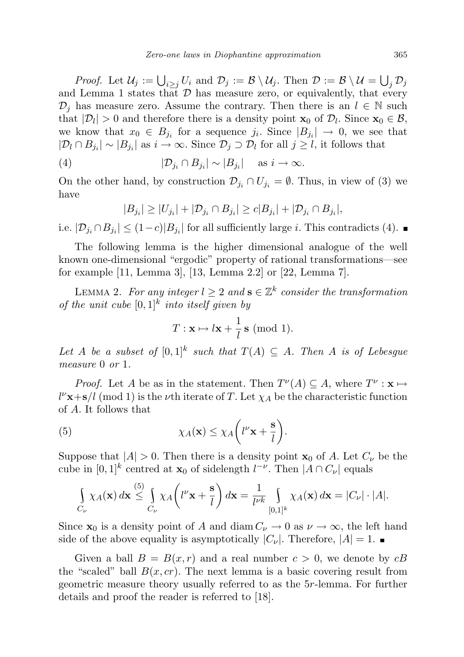*Proof.* Let  $\mathcal{U}_j := \bigcup_{i \geq j} U_i$  and  $\mathcal{D}_j := \mathcal{B} \setminus \mathcal{U}_j$ . Then  $\mathcal{D} := \mathcal{B} \setminus \mathcal{U} = \bigcup_j \mathcal{D}_j$ and Lemma 1 states that  $D$  has measure zero, or equivalently, that every  $\mathcal{D}_j$  has measure zero. Assume the contrary. Then there is an  $l \in \mathbb{N}$  such that  $|\mathcal{D}_l| > 0$  and therefore there is a density point  $\mathbf{x}_0$  of  $\mathcal{D}_l$ . Since  $\mathbf{x}_0 \in \mathcal{B}$ , we know that  $x_0 \in B_{j_i}$  for a sequence  $j_i$ . Since  $|B_{j_i}| \to 0$ , we see that  $|\mathcal{D}_l \cap B_{j_i}| \sim |B_{j_i}|$  as  $i \to \infty$ . Since  $\mathcal{D}_j \supset \mathcal{D}_l$  for all  $j \geq l$ , it follows that

(4) 
$$
|\mathcal{D}_{j_i} \cap B_{j_i}| \sim |B_{j_i}| \text{ as } i \to \infty.
$$

On the other hand, by construction  $\mathcal{D}_{j_i} \cap U_{j_i} = \emptyset$ . Thus, in view of (3) we have

$$
|B_{j_i}| \geq |U_{j_i}| + |\mathcal{D}_{j_i} \cap B_{j_i}| \geq c|B_{j_i}| + |\mathcal{D}_{j_i} \cap B_{j_i}|,
$$

i.e.  $|\mathcal{D}_{j_i} \cap B_{j_i}| \leq (1-c)|B_{j_i}|$  for all sufficiently large *i*. This contradicts (4).

The following lemma is the higher dimensional analogue of the well known one-dimensional "ergodic" property of rational transformations—see for example [11, Lemma 3], [13, Lemma 2.2] or [22, Lemma 7].

LEMMA 2. For any integer  $l \geq 2$  and  $\mathbf{s} \in \mathbb{Z}^k$  consider the transformation of the unit cube  $[0,1]^k$  into itself given by

$$
T: \mathbf{x} \mapsto l\mathbf{x} + \frac{1}{l}\,\mathbf{s} \;(\text{mod } 1).
$$

Let A be a subset of  $[0,1]^k$  such that  $T(A) \subseteq A$ . Then A is of Lebesgue measure 0 or 1.

*Proof.* Let A be as in the statement. Then  $T^{\nu}(A) \subseteq A$ , where  $T^{\nu} : \mathbf{x} \mapsto$  $l^{\nu}$ **x**+**s**/l (mod 1) is the *ν*th iterate of T. Let  $\chi_A$  be the characteristic function of A. It follows that

(5) 
$$
\chi_A(\mathbf{x}) \leq \chi_A \left(l^{\nu} \mathbf{x} + \frac{\mathbf{s}}{l}\right).
$$

 $\lambda = \sqrt{2}$ 

Suppose that  $|A| > 0$ . Then there is a density point  $x_0$  of A. Let  $C_{\nu}$  be the cube in  $[0,1]^k$  centred at  $\mathbf{x}_0$  of sidelength  $l^{-\nu}$ . Then  $|A \cap C_{\nu}|$  equals

$$
\int_{C_{\nu}} \chi_A(\mathbf{x}) d\mathbf{x} \stackrel{(5)}{\leq} \int_{C_{\nu}} \chi_A \left( l^{\nu} \mathbf{x} + \frac{\mathbf{s}}{l} \right) d\mathbf{x} = \frac{1}{l^{\nu k}} \int_{[0,1]^k} \chi_A(\mathbf{x}) d\mathbf{x} = |C_{\nu}| \cdot |A|.
$$

Since  $\mathbf{x}_0$  is a density point of A and diam  $C_{\nu} \to 0$  as  $\nu \to \infty$ , the left hand side of the above equality is asymptotically  $|C_{\nu}|$ . Therefore,  $|A| = 1$ .

Given a ball  $B = B(x, r)$  and a real number  $c > 0$ , we denote by  $cB$ the "scaled" ball  $B(x, cr)$ . The next lemma is a basic covering result from geometric measure theory usually referred to as the 5r-lemma. For further details and proof the reader is referred to [18].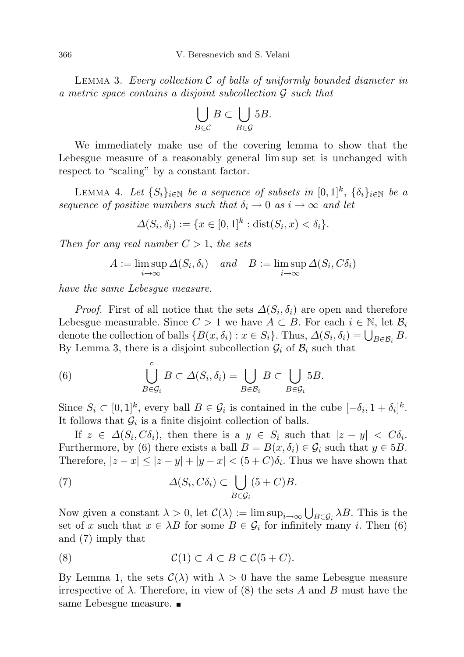LEMMA 3. Every collection  $\mathcal C$  of balls of uniformly bounded diameter in a metric space contains a disjoint subcollection G such that

$$
\bigcup_{B\in\mathcal{C}}B\subset\bigcup_{B\in\mathcal{G}}5B.
$$

We immediately make use of the covering lemma to show that the Lebesgue measure of a reasonably general lim sup set is unchanged with respect to "scaling" by a constant factor.

LEMMA 4. Let  $\{S_i\}_{i\in\mathbb{N}}$  be a sequence of subsets in  $[0,1]^k$ ,  $\{\delta_i\}_{i\in\mathbb{N}}$  be a sequence of positive numbers such that  $\delta_i \to 0$  as  $i \to \infty$  and let

$$
\Delta(S_i, \delta_i) := \{x \in [0,1]^k : \text{dist}(S_i, x) < \delta_i\}.
$$

Then for any real number  $C > 1$ , the sets

$$
A := \limsup_{i \to \infty} \Delta(S_i, \delta_i) \quad and \quad B := \limsup_{i \to \infty} \Delta(S_i, C\delta_i)
$$

have the same Lebesgue measure.

*Proof.* First of all notice that the sets  $\Delta(S_i, \delta_i)$  are open and therefore Lebesgue measurable. Since  $C > 1$  we have  $A \subset B$ . For each  $i \in \mathbb{N}$ , let  $\mathcal{B}_i$ denote the collection of balls  $\{B(x, \delta_i) : x \in S_i\}$ . Thus,  $\Delta(S_i, \delta_i) = \bigcup_{B \in \mathcal{B}_i} B$ . By Lemma 3, there is a disjoint subcollection  $\mathcal{G}_i$  of  $\mathcal{B}_i$  such that

(6) 
$$
\bigcup_{B \in \mathcal{G}_i}^{\circ} B \subset \Delta(S_i, \delta_i) = \bigcup_{B \in \mathcal{B}_i} B \subset \bigcup_{B \in \mathcal{G}_i} 5B.
$$

Since  $S_i \subset [0,1]^k$ , every ball  $B \in \mathcal{G}_i$  is contained in the cube  $[-\delta_i, 1 + \delta_i]^k$ . It follows that  $\mathcal{G}_i$  is a finite disjoint collection of balls.

If  $z \in \Delta(S_i, C\delta_i)$ , then there is a  $y \in S_i$  such that  $|z - y| < C\delta_i$ . Furthermore, by (6) there exists a ball  $B = B(x, \delta_i) \in \mathcal{G}_i$  such that  $y \in 5B$ . Therefore,  $|z - x| \le |z - y| + |y - x| < (5 + C)\delta_i$ . Thus we have shown that

(7) 
$$
\Delta(S_i, C\delta_i) \subset \bigcup_{B \in \mathcal{G}_i} (5+C)B.
$$

Now given a constant  $\lambda > 0$ , let  $\mathcal{C}(\lambda) := \limsup_{i \to \infty} \bigcup_{B \in \mathcal{G}_i} \lambda B$ . This is the set of x such that  $x \in \lambda B$  for some  $B \in \mathcal{G}_i$  for infinitely many i. Then (6) and (7) imply that

$$
(8) \t C(1) \subset A \subset B \subset C(5+C).
$$

By Lemma 1, the sets  $\mathcal{C}(\lambda)$  with  $\lambda > 0$  have the same Lebesgue measure irrespective of  $\lambda$ . Therefore, in view of (8) the sets A and B must have the same Lebesgue measure.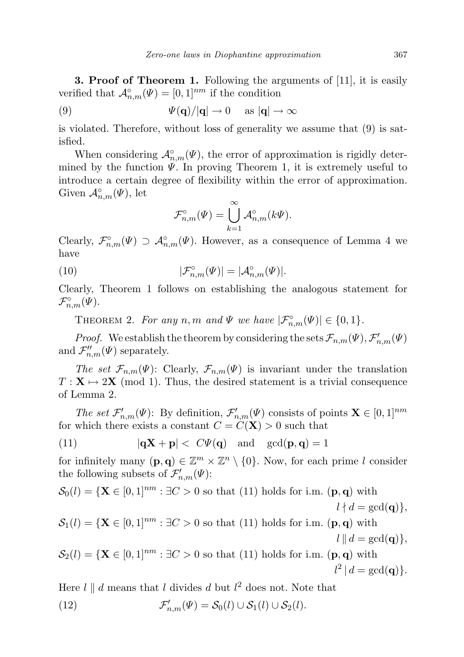**3. Proof of Theorem 1.** Following the arguments of [11], it is easily verified that  $\mathcal{A}_{n,m}^{\circ}(\Psi) = [0,1]^{nm}$  if the condition

(9) 
$$
\Psi(\mathbf{q})/|\mathbf{q}| \to 0 \quad \text{as } |\mathbf{q}| \to \infty
$$

is violated. Therefore, without loss of generality we assume that (9) is satisfied.

When considering  $\mathcal{A}_{n,m}^{\circ}(\Psi)$ , the error of approximation is rigidly determined by the function  $\Psi$ . In proving Theorem 1, it is extremely useful to introduce a certain degree of flexibility within the error of approximation. Given  $\mathcal{A}_{n,m}^{\circ}(\Psi)$ , let

$$
\mathcal{F}_{n,m}^{\circ}(\Psi) = \bigcup_{k=1}^{\infty} \mathcal{A}_{n,m}^{\circ}(k\Psi).
$$

Clearly,  $\mathcal{F}_{n,m}^{\circ}(\Psi) \supset \mathcal{A}_{n,m}^{\circ}(\Psi)$ . However, as a consequence of Lemma 4 we have

(10) 
$$
|\mathcal{F}_{n,m}^{\circ}(\Psi)| = |\mathcal{A}_{n,m}^{\circ}(\Psi)|.
$$

Clearly, Theorem 1 follows on establishing the analogous statement for  $\mathcal{F}_{n,m}^{\circ}(\Psi).$ 

THEOREM 2. For any n, m and  $\Psi$  we have  $|\mathcal{F}_{n,m}^{\circ}(\Psi)| \in \{0,1\}.$ 

*Proof.* We establish the theorem by considering the sets  $\mathcal{F}_{n,m}(\Psi), \mathcal{F}'_{n,m}(\Psi)$ and  $\mathcal{F}_{n,m}''(\Psi)$  separately.

The set  $\mathcal{F}_{n,m}(\Psi)$ : Clearly,  $\mathcal{F}_{n,m}(\Psi)$  is invariant under the translation  $T: \mathbf{X} \mapsto 2\mathbf{X}$  (mod 1). Thus, the desired statement is a trivial consequence of Lemma 2.

The set  $\mathcal{F}'_{n,m}(\Psi)$ : By definition,  $\mathcal{F}'_{n,m}(\Psi)$  consists of points  $\mathbf{X} \in [0,1]^{nm}$ for which there exists a constant  $C = C(\mathbf{X}) > 0$  such that

(11) 
$$
|\mathbf{q} \mathbf{X} + \mathbf{p}| < C\Psi(\mathbf{q}) \quad \text{and} \quad \gcd(\mathbf{p}, \mathbf{q}) = 1
$$

for infinitely many  $(\mathbf{p}, \mathbf{q}) \in \mathbb{Z}^m \times \mathbb{Z}^n \setminus \{0\}$ . Now, for each prime l consider the following subsets of  $\mathcal{F}'_{n,m}(\Psi)$ :

$$
\mathcal{S}_0(l) = \{ \mathbf{X} \in [0,1]^{nm} : \exists C > 0 \text{ so that (11) holds for i.m. } (\mathbf{p}, \mathbf{q}) \text{ with}
$$

$$
l \nmid d = \gcd(\mathbf{q}) \},
$$

$$
\mathcal{S}_1(l) = \{ \mathbf{X} \in [0,1]^{nm} : \exists C > 0 \text{ so that (11) holds for i.m. } (\mathbf{p}, \mathbf{q}) \text{ with}
$$

$$
\mathcal{S}_1(t) = \{ \mathbf{X} \in [0, 1]^{n} : \exists C > 0 \text{ so that (11) holds for 1.m. } (\mathbf{p}, \mathbf{q}) \text{ with}
$$
  
 
$$
l \parallel d = \gcd(\mathbf{q}) \},
$$

 $\mathcal{S}_2(l) = {\mathbf{X} \in [0,1]^{nm} : \exists C > 0 \text{ so that (11) holds for i.m. (**p,q**) with$  $l^2 | d = \gcd(q)$ .

Here  $l \parallel d$  means that l divides d but  $l^2$  does not. Note that  $(12)$  $\mathcal{S}_{n,m}(\Psi) = \mathcal{S}_0(l) \cup \mathcal{S}_1(l) \cup \mathcal{S}_2(l).$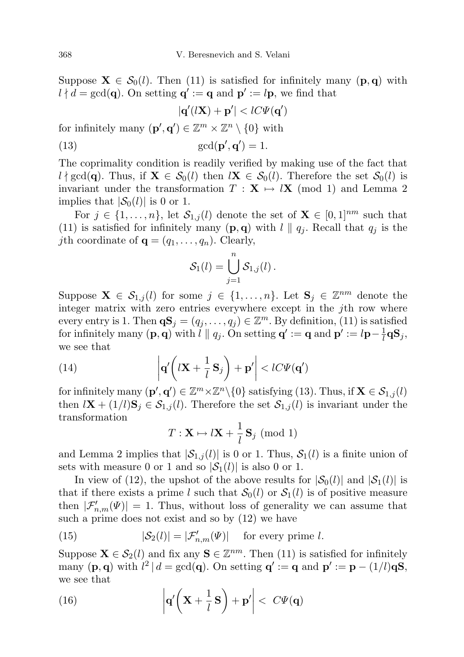Suppose  $\mathbf{X} \in \mathcal{S}_0(l)$ . Then (11) is satisfied for infinitely many (p,q) with  $l \nmid d = \gcd(q)$ . On setting  $q' := q$  and  $p' := l p$ , we find that

$$
|\mathbf{q}'(l\mathbf{X})+\mathbf{p}'| < lC\Psi(\mathbf{q}')
$$

for infinitely many  $(\mathbf{p}', \mathbf{q}') \in \mathbb{Z}^m \times \mathbb{Z}^n \setminus \{0\}$  with

(13) 
$$
\gcd(\mathbf{p}',\mathbf{q}')=1.
$$

The coprimality condition is readily verified by making use of the fact that  $l \nmid \gcd(q)$ . Thus, if  $\mathbf{X} \in \mathcal{S}_0(l)$  then  $l\mathbf{X} \in \mathcal{S}_0(l)$ . Therefore the set  $\mathcal{S}_0(l)$  is invariant under the transformation  $T : X \rightarrow \mathbf{IX}$  (mod 1) and Lemma 2 implies that  $|\mathcal{S}_0(l)|$  is 0 or 1.

For  $j \in \{1, \ldots, n\}$ , let  $\mathcal{S}_{1,j}(l)$  denote the set of  $\mathbf{X} \in [0, 1]^{nm}$  such that (11) is satisfied for infinitely many  $(p, q)$  with  $l \parallel q_j$ . Recall that  $q_j$  is the *j*th coordinate of  $\mathbf{q} = (q_1, \ldots, q_n)$ . Clearly,

$$
\mathcal{S}_1(l) = \bigcup_{j=1}^n \mathcal{S}_{1,j}(l) .
$$

Suppose  $\mathbf{X} \in \mathcal{S}_{1,j}(l)$  for some  $j \in \{1, \ldots, n\}$ . Let  $\mathbf{S}_j \in \mathbb{Z}^{nm}$  denote the integer matrix with zero entries everywhere except in the jth row where every entry is 1. Then  $\mathbf{qS}_j = (q_j, \ldots, q_j) \in \mathbb{Z}^m$ . By definition, (11) is satisfied for infinitely many  $(\mathbf{p}, \mathbf{q})$  with  $l \parallel q_j$ . On setting  $\mathbf{q}' := \mathbf{q}$  and  $\mathbf{p}' := l\mathbf{p} - \frac{1}{l}$  $\frac{1}{l}{\bf q}{\bf S}_j,$ we see that

(14) 
$$
\left| \mathbf{q}'\left( l\mathbf{X} + \frac{1}{l} \mathbf{S}_j \right) + \mathbf{p}' \right| < lC \Psi(\mathbf{q}')
$$

for infinitely many  $(\mathbf{p}', \mathbf{q}') \in \mathbb{Z}^m \times \mathbb{Z}^n \setminus \{0\}$  satisfying (13). Thus, if  $\mathbf{X} \in \mathcal{S}_{1,j}(l)$ then  $l\mathbf{X} + (1/l)\mathbf{S}_j \in \mathcal{S}_{1,j}(l)$ . Therefore the set  $\mathcal{S}_{1,j}(l)$  is invariant under the transformation

$$
T: \mathbf{X} \mapsto l\mathbf{X} + \frac{1}{l}\,\mathbf{S}_j\,\,(\text{mod }1)
$$

and Lemma 2 implies that  $|S_{1,j}(l)|$  is 0 or 1. Thus,  $S_1(l)$  is a finite union of sets with measure 0 or 1 and so  $|\mathcal{S}_1(l)|$  is also 0 or 1.

In view of (12), the upshot of the above results for  $|\mathcal{S}_0(l)|$  and  $|\mathcal{S}_1(l)|$  is that if there exists a prime l such that  $S_0(l)$  or  $S_1(l)$  is of positive measure then  $|\mathcal{F}'_{n,m}(\Psi)| = 1$ . Thus, without loss of generality we can assume that such a prime does not exist and so by (12) we have

(15) 
$$
|\mathcal{S}_2(l)| = |\mathcal{F}'_{n,m}(\Psi)| \text{ for every prime } l.
$$

Suppose  $\mathbf{X} \in \mathcal{S}_2(l)$  and fix any  $\mathbf{S} \in \mathbb{Z}^{nm}$ . Then (11) is satisfied for infinitely many (**p**, **q**) with  $l^2 | d = \gcd(q)$ . On setting  $q' := q$  and  $p' := p - (1/l)qS$ , we see that

(16) 
$$
\left| \mathbf{q}'\left( \mathbf{X} + \frac{1}{l} \mathbf{S} \right) + \mathbf{p}' \right| < C \Psi(\mathbf{q})
$$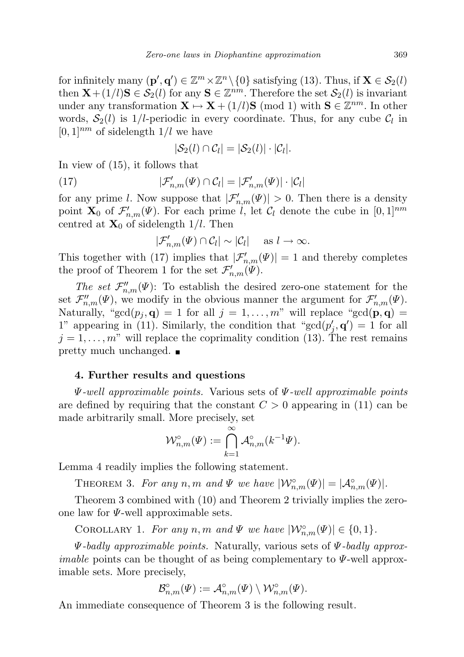for infinitely many  $(\mathbf{p}', \mathbf{q}') \in \mathbb{Z}^m \times \mathbb{Z}^n \setminus \{0\}$  satisfying (13). Thus, if  $\mathbf{X} \in \mathcal{S}_2(l)$ then  $\mathbf{X} + (1/l)\mathbf{S} \in \mathcal{S}_2(l)$  for any  $\mathbf{S} \in \mathbb{Z}^{nm}$ . Therefore the set  $\mathcal{S}_2(l)$  is invariant under any transformation  $\mathbf{X} \mapsto \mathbf{X} + (1/l)\mathbf{S} \pmod{1}$  with  $\mathbf{S} \in \mathbb{Z}^{nm}$ . In other words,  $S_2(l)$  is 1/l-periodic in every coordinate. Thus, for any cube  $C_l$  in  $[0, 1]^{nm}$  of sidelength  $1/l$  we have

$$
|\mathcal{S}_2(l) \cap \mathcal{C}_l| = |\mathcal{S}_2(l)| \cdot |\mathcal{C}_l|.
$$

In view of (15), it follows that

(17) 
$$
|\mathcal{F}_{n,m}'(\Psi) \cap \mathcal{C}_l| = |\mathcal{F}_{n,m}'(\Psi)| \cdot |\mathcal{C}_l|
$$

for any prime l. Now suppose that  $|\mathcal{F}'_{n,m}(\Psi)| > 0$ . Then there is a density point  $\mathbf{X}_0$  of  $\mathcal{F}'_{n,m}(\Psi)$ . For each prime l, let  $\mathcal{C}_l$  denote the cube in  $[0,1]^{nm}$ centred at  $\mathbf{X}_0$  of sidelength 1/l. Then

$$
|\mathcal{F}_{n,m}'(\Psi) \cap \mathcal{C}_l| \sim |\mathcal{C}_l| \quad \text{ as } l \to \infty.
$$

This together with (17) implies that  $|\mathcal{F}'_{n,m}(\Psi)| = 1$  and thereby completes the proof of Theorem 1 for the set  $\mathcal{F}'_{n,m}(\Psi)$ .

The set  $\mathcal{F}_{n,m}''(\Psi)$ : To establish the desired zero-one statement for the set  $\mathcal{F}_{n,m}''(\Psi)$ , we modify in the obvious manner the argument for  $\mathcal{F}_{n,m}'(\Psi)$ . Naturally, "gcd $(p_i, \mathbf{q}) = 1$  for all  $j = 1, \ldots, m$ " will replace "gcd $(\mathbf{p}, \mathbf{q}) =$ 1" appearing in (11). Similarly, the condition that " $gcd(p'_j, q') = 1$  for all  $j = 1, \ldots, m$ " will replace the coprimality condition (13). The rest remains pretty much unchanged.

## 4. Further results and questions

 $\Psi$ -well approximable points. Various sets of  $\Psi$ -well approximable points are defined by requiring that the constant  $C > 0$  appearing in (11) can be made arbitrarily small. More precisely, set

$$
\mathcal{W}_{n,m}^{\circ}(\varPsi):=\bigcap_{k=1}^{\infty}\mathcal{A}_{n,m}^{\circ}(k^{-1}\varPsi).
$$

Lemma 4 readily implies the following statement.

THEOREM 3. For any n, m and  $\Psi$  we have  $|\mathcal{W}_{n,m}^{\circ}(\Psi)| = |\mathcal{A}_{n,m}^{\circ}(\Psi)|$ .

Theorem 3 combined with (10) and Theorem 2 trivially implies the zeroone law for  $\Psi$ -well approximable sets.

COROLLARY 1. For any n, m and  $\Psi$  we have  $|\mathcal{W}_{n,m}^{\circ}(\Psi)| \in \{0,1\}.$ 

 $\Psi$ -badly approximable points. Naturally, various sets of  $\Psi$ -badly approx*imable* points can be thought of as being complementary to  $\Psi$ -well approximable sets. More precisely,

$$
\mathcal{B}_{n,m}^\circ(\varPsi):=\mathcal{A}_{n,m}^\circ(\varPsi)\setminus \mathcal{W}_{n,m}^\circ(\varPsi).
$$

An immediate consequence of Theorem 3 is the following result.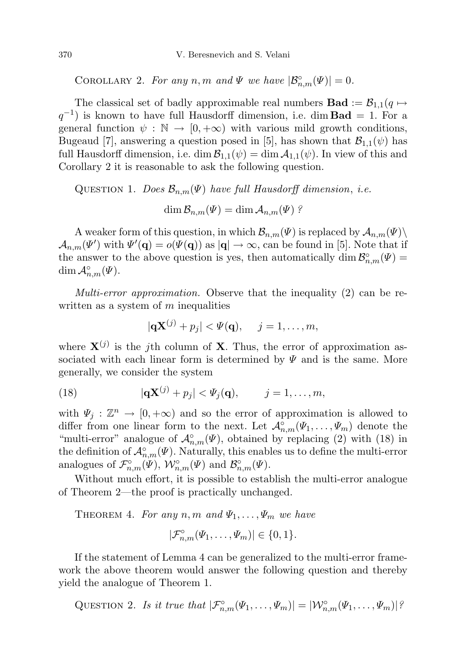COROLLARY 2. For any n, m and  $\Psi$  we have  $|\mathcal{B}_{n,m}^{\circ}(\Psi)| = 0$ .

The classical set of badly approximable real numbers **Bad** :=  $\mathcal{B}_{1,1}(q \mapsto$  $q^{-1}$ ) is known to have full Hausdorff dimension, i.e. dim **Bad** = 1. For a general function  $\psi : \mathbb{N} \to [0, +\infty)$  with various mild growth conditions, Bugeaud [7], answering a question posed in [5], has shown that  $\mathcal{B}_{1,1}(\psi)$  has full Hausdorff dimension, i.e. dim  $\mathcal{B}_{1,1}(\psi) = \dim \mathcal{A}_{1,1}(\psi)$ . In view of this and Corollary 2 it is reasonable to ask the following question.

QUESTION 1. Does  $\mathcal{B}_{n,m}(\Psi)$  have full Hausdorff dimension, i.e.

 $\dim \mathcal{B}_{n,m}(\Psi) = \dim \mathcal{A}_{n,m}(\Psi)$ ?

A weaker form of this question, in which  $\mathcal{B}_{n,m}(\Psi)$  is replaced by  $\mathcal{A}_{n,m}(\Psi)\setminus$  $\mathcal{A}_{n,m}(\Psi')$  with  $\Psi'(\mathbf{q}) = o(\Psi(\mathbf{q}))$  as  $|\mathbf{q}| \to \infty$ , can be found in [5]. Note that if the answer to the above question is yes, then automatically  $\dim \mathcal{B}_{n,m}^{\circ}(\Psi) =$  $\dim \mathcal{A}_{n,m}^{\circ}(\Psi).$ 

Multi-error approximation. Observe that the inequality (2) can be rewritten as a system of  $m$  inequalities

$$
|\mathbf{q} \mathbf{X}^{(j)} + p_j| < \Psi(\mathbf{q}), \quad j = 1, \dots, m,
$$

where  $X^{(j)}$  is the j<sup>th</sup> column of **X**. Thus, the error of approximation associated with each linear form is determined by  $\Psi$  and is the same. More generally, we consider the system

(18) 
$$
|\mathbf{q} \mathbf{X}^{(j)} + p_j| < \Psi_j(\mathbf{q}), \qquad j = 1, \ldots, m,
$$

with  $\Psi_j : \mathbb{Z}^n \to [0, +\infty)$  and so the error of approximation is allowed to differ from one linear form to the next. Let  $\mathcal{A}_{n,m}^{\circ}(\Psi_1,\ldots,\Psi_m)$  denote the "multi-error" analogue of  $\mathcal{A}_{n,m}^{\circ}(\Psi)$ , obtained by replacing (2) with (18) in the definition of  $\mathcal{A}_{n,m}^{\circ}(\Psi)$ . Naturally, this enables us to define the multi-error analogues of  $\mathcal{F}_{n,m}^{\circ}(\Psi)$ ,  $\mathcal{W}_{n,m}^{\circ}(\Psi)$  and  $\mathcal{B}_{n,m}^{\circ}(\Psi)$ .

Without much effort, it is possible to establish the multi-error analogue of Theorem 2—the proof is practically unchanged.

THEOREM 4. For any  $n, m$  and  $\Psi_1, \ldots, \Psi_m$  we have

$$
|\mathcal{F}_{n,m}^{\circ}(\Psi_1,\ldots,\Psi_m)| \in \{0,1\}.
$$

If the statement of Lemma 4 can be generalized to the multi-error framework the above theorem would answer the following question and thereby yield the analogue of Theorem 1.

QUESTION 2. Is it true that  $|\mathcal{F}_{n,m}^{\circ}(\Psi_1,\ldots,\Psi_m)| = |\mathcal{W}_{n,m}^{\circ}(\Psi_1,\ldots,\Psi_m)|^{\frac{1}{2}}$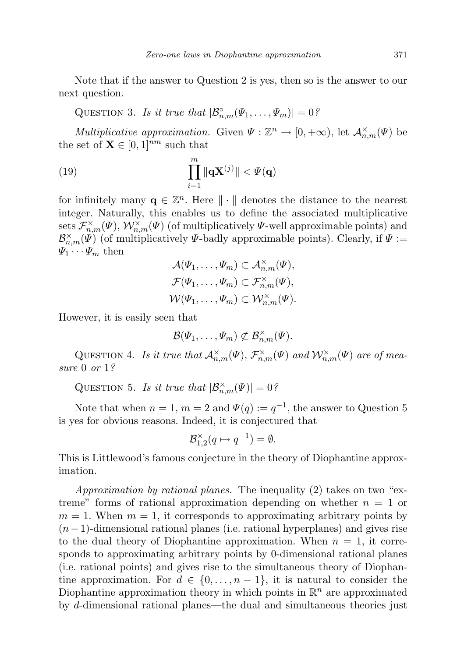Note that if the answer to Question 2 is yes, then so is the answer to our next question.

QUESTION 3. Is it true that  $|\mathcal{B}_{n,m}^{\circ}(\Psi_1,\ldots,\Psi_m)|=0$ ?

Multiplicative approximation. Given  $\Psi : \mathbb{Z}^n \to [0, +\infty)$ , let  $\mathcal{A}_{n,m}^{\times}(\Psi)$  be the set of  $\mathbf{X} \in [0, 1]^{nm}$  such that

(19) 
$$
\prod_{i=1}^{m} \|\mathbf{q} \mathbf{X}^{(j)}\| < \Psi(\mathbf{q})
$$

for infinitely many  $\mathbf{q} \in \mathbb{Z}^n$ . Here  $\|\cdot\|$  denotes the distance to the nearest integer. Naturally, this enables us to define the associated multiplicative sets  $\mathcal{F}_{n,m}^{\times}(\Psi)$ ,  $\mathcal{W}_{n,m}^{\times}(\Psi)$  (of multiplicatively  $\Psi$ -well approximable points) and  $\mathcal{B}_{n,m}^{\times}(\Psi)$  (of multiplicatively  $\Psi$ -badly approximable points). Clearly, if  $\Psi :=$  $\Psi_1 \cdots \Psi_m$  then

$$
\mathcal{A}(\Psi_1,\ldots,\Psi_m) \subset \mathcal{A}_{n,m}^{\times}(\Psi),
$$
  

$$
\mathcal{F}(\Psi_1,\ldots,\Psi_m) \subset \mathcal{F}_{n,m}^{\times}(\Psi),
$$
  

$$
\mathcal{W}(\Psi_1,\ldots,\Psi_m) \subset \mathcal{W}_{n,m}^{\times}(\Psi).
$$

However, it is easily seen that

$$
\mathcal{B}(\varPsi_1,\ldots,\varPsi_m)\not\subset \mathcal{B}_{n,m}^\times(\varPsi).
$$

QUESTION 4. Is it true that  $\mathcal{A}_{n,m}^{\times}(\Psi)$ ,  $\mathcal{F}_{n,m}^{\times}(\Psi)$  and  $\mathcal{W}_{n,m}^{\times}(\Psi)$  are of measure 0 or 1?

QUESTION 5. Is it true that  $|\mathcal{B}_{n,m}^{\times}(\Psi)| = 0$ ?

Note that when  $n = 1$ ,  $m = 2$  and  $\Psi(q) := q^{-1}$ , the answer to Question 5 is yes for obvious reasons. Indeed, it is conjectured that

$$
\mathcal{B}_{1,2}^{\times}(q \mapsto q^{-1}) = \emptyset.
$$

This is Littlewood's famous conjecture in the theory of Diophantine approximation.

Approximation by rational planes. The inequality (2) takes on two "extreme" forms of rational approximation depending on whether  $n = 1$  or  $m = 1$ . When  $m = 1$ , it corresponds to approximating arbitrary points by  $(n-1)$ -dimensional rational planes (i.e. rational hyperplanes) and gives rise to the dual theory of Diophantine approximation. When  $n = 1$ , it corresponds to approximating arbitrary points by 0-dimensional rational planes (i.e. rational points) and gives rise to the simultaneous theory of Diophantine approximation. For  $d \in \{0, \ldots, n-1\}$ , it is natural to consider the Diophantine approximation theory in which points in  $\mathbb{R}^n$  are approximated by d-dimensional rational planes—the dual and simultaneous theories just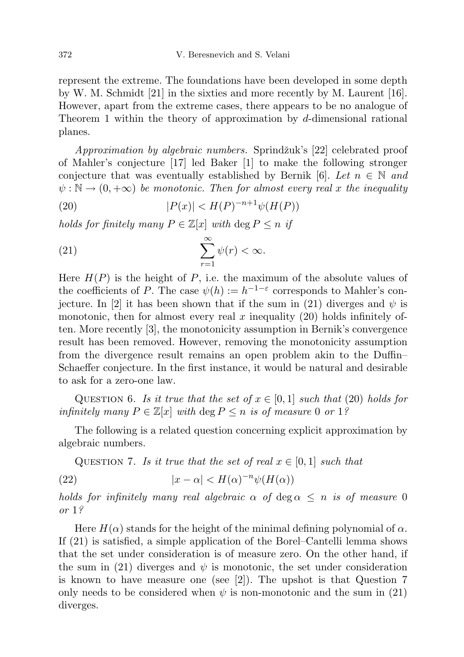represent the extreme. The foundations have been developed in some depth by W. M. Schmidt [21] in the sixties and more recently by M. Laurent [16]. However, apart from the extreme cases, there appears to be no analogue of Theorem 1 within the theory of approximation by d-dimensional rational planes.

Approximation by algebraic numbers. Sprindžuk's [22] celebrated proof of Mahler's conjecture [17] led Baker [1] to make the following stronger conjecture that was eventually established by Bernik [6]. Let  $n \in \mathbb{N}$  and  $\psi : \mathbb{N} \to (0, +\infty)$  be monotonic. Then for almost every real x the inequality

(20) 
$$
|P(x)| < H(P)^{-n+1}\psi(H(P))
$$

holds for finitely many  $P \in \mathbb{Z}[x]$  with  $\deg P \leq n$  if

(21) 
$$
\sum_{r=1}^{\infty} \psi(r) < \infty.
$$

Here  $H(P)$  is the height of P, i.e. the maximum of the absolute values of the coefficients of P. The case  $\psi(h) := h^{-1-\varepsilon}$  corresponds to Mahler's conjecture. In [2] it has been shown that if the sum in (21) diverges and  $\psi$  is monotonic, then for almost every real x inequality  $(20)$  holds infinitely often. More recently [3], the monotonicity assumption in Bernik's convergence result has been removed. However, removing the monotonicity assumption from the divergence result remains an open problem akin to the Duffin– Schaeffer conjecture. In the first instance, it would be natural and desirable to ask for a zero-one law.

QUESTION 6. Is it true that the set of  $x \in [0,1]$  such that (20) holds for infinitely many  $P \in \mathbb{Z}[x]$  with  $\deg P \leq n$  is of measure 0 or 1?

The following is a related question concerning explicit approximation by algebraic numbers.

QUESTION 7. Is it true that the set of real  $x \in [0,1]$  such that

(22) 
$$
|x - \alpha| < H(\alpha)^{-n} \psi(H(\alpha))
$$

holds for infinitely many real algebraic  $\alpha$  of  $\deg \alpha \leq n$  is of measure 0 or 1?

Here  $H(\alpha)$  stands for the height of the minimal defining polynomial of  $\alpha$ . If (21) is satisfied, a simple application of the Borel–Cantelli lemma shows that the set under consideration is of measure zero. On the other hand, if the sum in (21) diverges and  $\psi$  is monotonic, the set under consideration is known to have measure one (see  $[2]$ ). The upshot is that Question 7 only needs to be considered when  $\psi$  is non-monotonic and the sum in (21) diverges.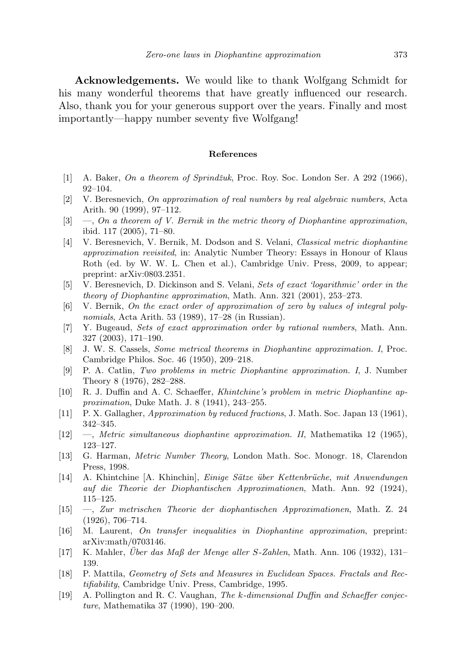Acknowledgements. We would like to thank Wolfgang Schmidt for his many wonderful theorems that have greatly influenced our research. Also, thank you for your generous support over the years. Finally and most importantly—happy number seventy five Wolfgang!

## References

- [1] A. Baker, On a theorem of Sprindžuk, Proc. Roy. Soc. London Ser. A 292 (1966), 92–104.
- [2] V. Beresnevich, On approximation of real numbers by real algebraic numbers, Acta Arith. 90 (1999), 97–112.
- $[3] \quad -$ , On a theorem of V. Bernik in the metric theory of Diophantine approximation, ibid. 117 (2005), 71–80.
- [4] V. Beresnevich, V. Bernik, M. Dodson and S. Velani, Classical metric diophantine approximation revisited, in: Analytic Number Theory: Essays in Honour of Klaus Roth (ed. by W. W. L. Chen et al.), Cambridge Univ. Press, 2009, to appear; preprint: arXiv:0803.2351.
- [5] V. Beresnevich, D. Dickinson and S. Velani, Sets of exact 'logarithmic' order in the theory of Diophantine approximation, Math. Ann. 321 (2001), 253–273.
- [6] V. Bernik, On the exact order of approximation of zero by values of integral polynomials, Acta Arith. 53 (1989), 17–28 (in Russian).
- [7] Y. Bugeaud, Sets of exact approximation order by rational numbers, Math. Ann. 327 (2003), 171–190.
- [8] J. W. S. Cassels, Some metrical theorems in Diophantine approximation. I, Proc. Cambridge Philos. Soc. 46 (1950), 209–218.
- [9] P. A. Catlin, Two problems in metric Diophantine approximation. I, J. Number Theory 8 (1976), 282–288.
- [10] R. J. Duffin and A. C. Schaeffer, Khintchine's problem in metric Diophantine approximation, Duke Math. J. 8 (1941), 243–255.
- [11] P. X. Gallagher, Approximation by reduced fractions, J. Math. Soc. Japan 13 (1961), 342–345.
- $[12] \quad -$ , Metric simultaneous diophantine approximation. II, Mathematika 12 (1965), 123–127.
- [13] G. Harman, Metric Number Theory, London Math. Soc. Monogr. 18, Clarendon Press, 1998.
- [14] A. Khintchine [A. Khinchin], Einige Sätze über Kettenbrüche, mit Anwendungen auf die Theorie der Diophantischen Approximationen, Math. Ann. 92 (1924), 115–125.
- [15] —, Zur metrischen Theorie der diophantischen Approximationen, Math. Z. 24 (1926), 706–714.
- [16] M. Laurent, On transfer inequalities in Diophantine approximation, preprint: arXiv:math/0703146.
- [17] K. Mahler, Uber das Maß der Menge aller S-Zahlen, Math. Ann. 106 (1932), 131– 139.
- [18] P. Mattila, Geometry of Sets and Measures in Euclidean Spaces. Fractals and Rectifiability, Cambridge Univ. Press, Cambridge, 1995.
- [19] A. Pollington and R. C. Vaughan, The k-dimensional Duffin and Schaeffer conjecture, Mathematika 37 (1990), 190–200.